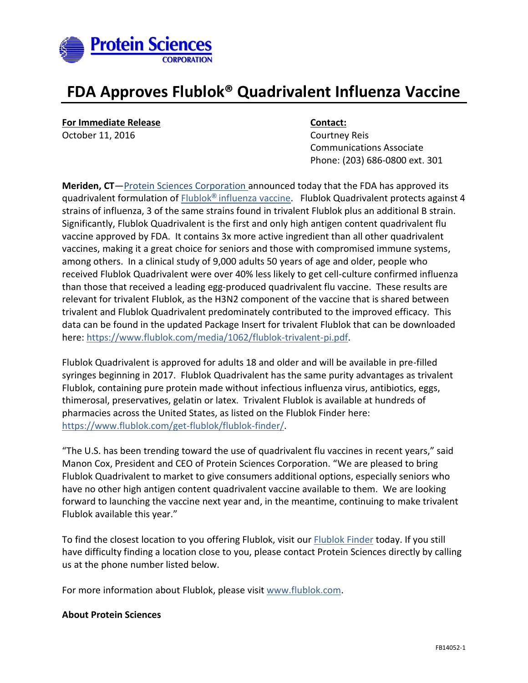

# **FDA Approves Flublok® Quadrivalent Influenza Vaccine**

**For Immediate Release <b>Contact:** 

October 11, 2016 **Courtney Reis** Communications Associate Phone: (203) 686-0800 ext. 301

**Meriden, CT**—[Protein Sciences Corporation](http://www.proteinsciences.com/) announced today that the FDA has approved its quadrivalent formulation of Flublok**®** [influenza vaccine.](http://www.flublok.com/) Flublok Quadrivalent protects against 4 strains of influenza, 3 of the same strains found in trivalent Flublok plus an additional B strain. Significantly, Flublok Quadrivalent is the first and only high antigen content quadrivalent flu vaccine approved by FDA. It contains 3x more active ingredient than all other quadrivalent vaccines, making it a great choice for seniors and those with compromised immune systems, among others. In a clinical study of 9,000 adults 50 years of age and older, people who received Flublok Quadrivalent were over 40% less likely to get cell-culture confirmed influenza than those that received a leading egg-produced quadrivalent flu vaccine. These results are relevant for trivalent Flublok, as the H3N2 component of the vaccine that is shared between trivalent and Flublok Quadrivalent predominately contributed to the improved efficacy. This data can be found in the updated Package Insert for trivalent Flublok that can be downloaded here: [https://www.flublok.com/media/1062/flublok-trivalent-pi.pdf.](https://www.flublok.com/media/1062/flublok-trivalent-pi.pdf)

Flublok Quadrivalent is approved for adults 18 and older and will be available in pre-filled syringes beginning in 2017. Flublok Quadrivalent has the same purity advantages as trivalent Flublok, containing pure protein made without infectious influenza virus, antibiotics, eggs, thimerosal, preservatives, gelatin or latex. Trivalent Flublok is available at hundreds of pharmacies across the United States, as listed on the Flublok Finder here: [https://www.flublok.com/get-flublok/flublok-finder/.](https://www.flublok.com/get-flublok/flublok-finder/)

"The U.S. has been trending toward the use of quadrivalent flu vaccines in recent years," said Manon Cox, President and CEO of Protein Sciences Corporation. "We are pleased to bring Flublok Quadrivalent to market to give consumers additional options, especially seniors who have no other high antigen content quadrivalent vaccine available to them. We are looking forward to launching the vaccine next year and, in the meantime, continuing to make trivalent Flublok available this year."

To find the closest location to you offering Flublok, visit our [Flublok Finder](https://www.flublok.com/get-flublok/flublok-finder/) today. If you still have difficulty finding a location close to you, please contact Protein Sciences directly by calling us at the phone number listed below.

For more information about Flublok, please visit [www.flublok.com.](file:///C:/Users/cgoodwin/AppData/Local/Microsoft/Windows/INetCache/Content.Outlook/16R2C2XX/www.flublok.com)

### **About Protein Sciences**